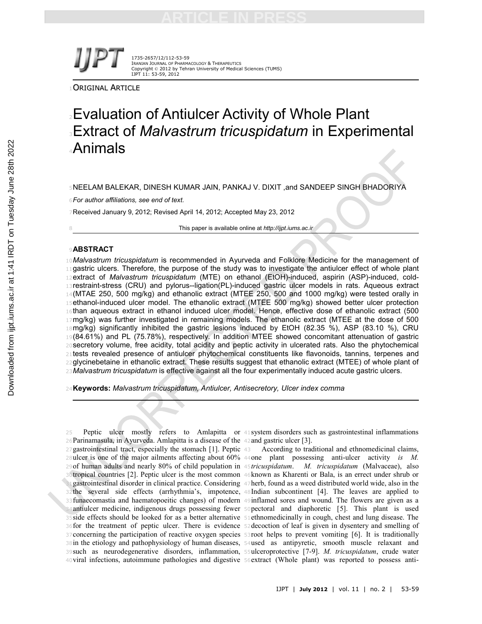1735-2657/12/112-53-59 IRANIAN JOURNAL OF PHARMACOLOGY & THERAPEUTICS Copyright © 2012 by Tehran University of Medical Sciences (TUMS) IJPT 11: 53-59, 2012

ORIGINAL ARTICLE

# **Evaluation of Antiulcer Activity of Whole Plant** Extract of *Malvastrum tricuspidatum* in Experimental Animals

NEELAM BALEKAR, DINESH KUMAR JAIN, PANKAJ V. DIXIT ,and SANDEEP SINGH BHADORIYA

*For author affiliations, see end of text.*

Received January 9, 2012; Revised April 14, 2012; Accepted May 23, 2012

This paper is available online at *http://ijpt.iums.ac.ir*

# **ABSTRACT**

*Malvastrum tricuspidatum* is recommended in Ayurveda and Folklore Medicine for the management of 11 gastric ulcers. Therefore, the purpose of the study was to investigate the antiulcer effect of whole plant extract of *Malvastrum tricuspidatum* (MTE) on ethanol (EtOH)-induced, aspirin (ASP)-induced, cold-13 restraint-stress (CRU) and pylorus--ligation(PL)-induced gastric ulcer models in rats. Aqueous extract 14(MTAE 250, 500 mg/kg) and ethanolic extract (MTEE 250, 500 and 1000 mg/kg) were tested orally in 15ethanol-induced ulcer model. The ethanolic extract (MTEE 500 mg/kg) showed better ulcer protection 16than aqueous extract in ethanol induced ulcer model. Hence, effective dose of ethanolic extract (500 17mg/kg) was further investigated in remaining models. The ethanolic extract (MTEE at the dose of 500 mg/kg) significantly inhibited the gastric lesions induced by EtOH (82.35 %), ASP (83.10 %), CRU (84.61%) and PL (75.78%), respectively. In addition MTEE showed concomitant attenuation of gastric 20 secretory volume, free acidity, total acidity and peptic activity in ulcerated rats. Also the phytochemical tests revealed presence of antiulcer phytochemical constituents like flavonoids, tannins, terpenes and glycinebetaine in ethanolic extract. These results suggest that ethanolic extract (MTEE) of whole plant of *Malvastrum tricuspidatum* is effective against all the four experimentally induced acute gastric ulcers.

**Keywords:** *Malvastrum tricuspidatum, Antiulcer, Antisecretory, Ulcer index comma*

 Peptic ulcer mostly refers to Amlapitta or <sup>41</sup>system disorders such as gastrointestinal inflammations Parinamasula, in Ayurveda. Amlapitta is a disease of the <sup>42</sup>and gastric ulcer [3]. gastrointestinal tract, especially the stomach [1]. Peptic <sup>43</sup> According to traditional and ethnomedicinal claims, ulcer is one of the major ailments affecting about 60% <sup>44</sup>one plant possessing anti-ulcer activity *is M.* of human adults and nearly 80% of child population in <sup>45</sup>*tricuspidatum*. *M. tricuspidatum* (Malvaceae), also tropical countries [2]. Peptic ulcer is the most common <sup>46</sup>known as Kharenti or Bala, is an errect under shrub or gastrointestinal disorder in clinical practice. Considering <sup>47</sup>herb, found as a weed distributed world wide, also in the the several side effects (arrhythmia's, impotence, <sup>48</sup>Indian subcontinent [4]. The leaves are applied to funaecomastia and haematopoeitic changes) of modern <sup>49</sup>inflamed sores and wound. The flowers are given as a antiulcer medicine, indigenous drugs possessing fewer <sup>50</sup>pectoral and diaphoretic [5]. This plant is used side effects should be looked for as a better alternative <sup>51</sup>ethnomedicinally in cough, chest and lung disease. The for the treatment of peptic ulcer. There is evidence <sup>52</sup>decoction of leaf is given in dysentery and smelling of concerning the participation of reactive oxygen species <sup>53</sup>root helps to prevent vomiting [6]. It is traditionally in the etiology and pathophysiology of human diseases, <sup>54</sup>used as antipyretic, smooth muscle relaxant and such as neurodegenerative disorders, inflammation, <sup>55</sup>ulceroprotective [7-9]. *M. tricuspidatum*, crude water viral infections, autoimmune pathologies and digestive 56extract (Whole plant) was reported to possess anti-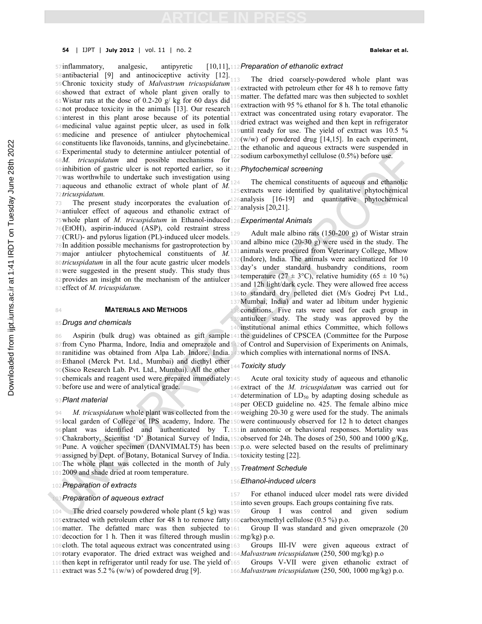57inflammatory, analgesic, antipyretic antibacterial [9] and antinociceptive activity [12]. Chronic toxicity study of *Malvastrum tricuspidatum* showed that extract of whole plant given orally to Wistar rats at the dose of 0.2-20 g/ kg for 60 days did not produce toxicity in the animals [13]. Our research interest in this plant arose because of its potential medicinal value against peptic ulcer, as used in folk medicine and presence of antiulcer phytochemical constituents like flavonoids, tannins, and glycinebetaine. Experimental study to determine antiulcer potential of *M. tricuspidatum* and possible mechanisms for inhibition of gastric ulcer is not reported earlier, so it <sup>123</sup>*Phytochemical screening* was worthwhile to undertake such investigation using aqueous and ethanolic extract of whole plant of *M. tricuspidatum. Preparation of ethanolic extract*

antiulcer effect of aqueous and ethanolic extract of  $127$ analysis [20,21]. whole plant of *M. tricuspidatum* in Ethanol-induced <sup>128</sup>*Experimental Animals* (EtOH), aspirin-induced (ASP), cold restraint stress  $77(CRU)$ - and pylorus ligation (PL)-induced ulcer models.<sup>129</sup> In addition possible mechanisms for gastroprotection by  $130$  and albino mice (20-30 g) were used in the study. The 79 major antiulcer phytochemical constituents of *M*. 131 animals were procured from Veterinary College, Mhow 80*tricuspidatum* in all the four acute gastric ulcer models<sup>132</sup>(Indore), India. The animals were acclimatized for 10 81 were suggested in the present study. This study thus <sup>133</sup>day's under standard husbandry conditions, room 82 provides an insight on the mechanism of the antiulcer temperature ( $27 \pm 3$ °C), relative humidity ( $65 \pm 10$  %) effect of *M. tricuspidatum.*

### **MATERIALS AND METHODS**

### *Drugs and chemicals*

 Aspirin (bulk drug) was obtained as gift sample <sup>141</sup>the guidelines of CPSCEA (Committee for the Purpose 87 from Cyno Pharma, Indore, India and omeprazole and 142 of Control and Supervision of Experiments on Animals, ranitidine was obtained from Alpa Lab. Indore, India. <sup>143</sup>which complies with international norms of INSA. Ethanol (Merck Pvt. Ltd., Mumbai) and diethyl ether (Sisco Research Lab. Pvt. Ltd., Mumbai). All the other 91 chemicals and reagent used were prepared immediately 145

before use and were of analytical grade.

### *Plant material*

The whole plant was collected in the month of July

2009 and shade dried at room temperature.

# *Preparation of extracts*

## *Preparation of aqueous extract*

The dried coarsely-powdered whole plant was 4extracted with petroleum ether for 48 h to remove fatty 5matter. The defatted marc was then subjected to soxhlet 16extraction with 95 % ethanol for 8 h. The total ethanolic extract was concentrated using rotary evaporator. The **1**8 dried extract was weighed and then kept in refrigerator until ready for use. The yield of extract was 10.5 %  $10(w/w)$  of powdered drug [14,15]. In each experiment, the ethanolic and aqueous extracts were suspended in 2sodium carboxymethyl cellulose (0.5%) before use.

The present study incorporates the evaluation of analysis [16-19] and quantitative phytochemical The chemical constituents of aqueous and ethanolic extracts were identified by qualitative phytochemical

Adult male albino rats  $(150-200 \text{ g})$  of Wistar strain and 12h light/dark cycle. They were allowed free access to standard dry pelleted diet (M/s Godrej Pvt Ltd., Mumbai, India) and water ad libitum under hygienic conditions. Five rats were used for each group in 139 antiulcer study. The study was approved by the institutional animal ethics Committee, which follows

## *Toxicity study*

Acute oral toxicity study of aqueous and ethanolic extract of the *M. tricuspidatum* was carried out for 147 determination of  $LD_{50}$  by adapting dosing schedule as per OECD guideline no. 425. The female albino mice

*M. tricuspidatum* whole plant was collected from the 149 weighing 20-30 g were used for the study. The animals local garden of College of IPS academy, Indore. The <sup>150</sup>were continuously observed for 12 h to detect changes plant was identified and authenticated by T. <sup>151</sup>in autonomic or behavioral responses. Mortality was Chakraborty, Scientist 'D' Botanical Survey of India, <sup>152</sup>observed for 24h. The doses of 250, 500 and 1000 g/Kg, Pune. A voucher specimen (DANVIMALT5) has been <sup>153</sup>p.o. were selected based on the results of preliminary assigned by Dept. of Botany, Botanical Survey of India. <sup>154</sup>toxicity testing [22].

*Treatment Schedule*

### *Ethanol-induced ulcers*

 For ethanol induced ulcer model rats were divided into seven groups. Each groups containing five rats.

The dried coarsely powdered whole plant  $(5 \text{ kg})$  was 159 extracted with petroleum ether for 48 h to remove fatty <sup>160</sup>carboxymethyl cellulose (0.5 %) p.o. Group I was control and given sodium

matter. The defatted marc was then subjected to decoction for 1 h. Then it was filtered through muslin <sup>162</sup>mg/kg) p.o. Group II was standard and given omeprazole (20

cloth. The total aqueous extract was concentrated using rotary evaporator. The dried extract was weighed and <sup>164</sup>*Malvastrum tricuspidatum* (250, 500 mg/kg) p.o Groups III-IV were given aqueous extract of

110then kept in refrigerator until ready for use. The yield of 165 111 extract was 5.2 % (w/w) of powdered drug [9]. Groups V-VII were given ethanolic extract of *Malvastrum tricuspidatum* (250, 500, 1000 mg/kg) p.o.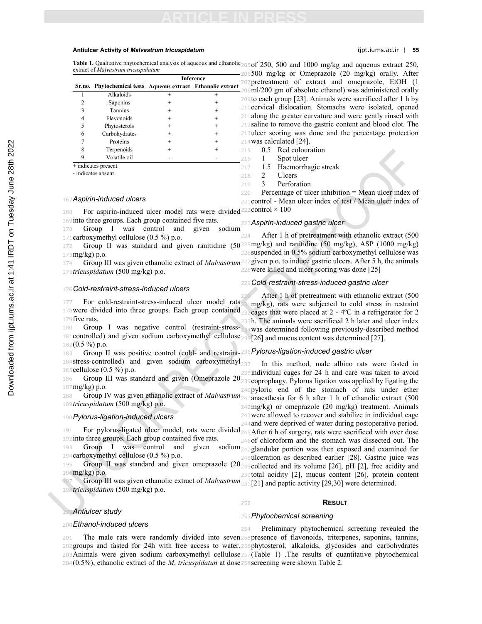### **Antiulcer Activity of** *Malvastrum tricuspidatum* ijpt.iums.ac.ir | **55**

Table 1. Qualitative phytochemical analysis of aqueous and ethanolic<sub>2050</sub>f 250, 500 and 1000 mg/kg and aqueous extract 250, extract of *Malvastrum tricuspidatum*

|                     |                                                              | <b>Inference</b> |      |  |  |
|---------------------|--------------------------------------------------------------|------------------|------|--|--|
|                     | Sr.no. Phytochemical tests Aqueous extract Ethanolic extract |                  |      |  |  |
|                     | Alkaloids                                                    |                  |      |  |  |
| 2                   | Saponins                                                     |                  |      |  |  |
| 3                   | <b>Tannins</b>                                               |                  | ٠    |  |  |
| 4                   | Flavonoids                                                   |                  | +    |  |  |
| 5                   | Phytosterols                                                 |                  | ÷    |  |  |
| 6                   | Carbohydrates                                                |                  | $^+$ |  |  |
|                     | Proteins                                                     |                  | $^+$ |  |  |
| 8                   | Terpenoids                                                   |                  | $^+$ |  |  |
| q                   | Volatile oil                                                 |                  |      |  |  |
| + indicates present |                                                              |                  |      |  |  |

- indicates absent

# *Aspirin-induced ulcers*

168 For aspirin-induced ulcer model rats were divided control  $\times$  100 into three groups. Each group contained five rats.

 Group I was control and given sodium carboxymethyl cellulose (0.5 %) p.o.

- mg/kg) p.o.
- *tricuspidatum* (500 mg/kg) p.o.

## *Cold-restraint-stress-induced ulcers*

 For cold-restraint-stress-induced ulcer model rats 178 were divided into three groups. Each group contained 232 cages that were placed at 2 - 4°C in a refrigerator for 2 five rats.

 Group I was negative control (restraint-stress-<sup>234</sup>was determined following previously-described method 181 controlled) and given sodium carboxymethyl cellulose<sub>235</sub>[26] and mucus content was determined [27].  $182(0.5\%)$  p.o.

 Group II was positive control (cold- and restraint-<sup>236</sup>*Pylorus-ligation-induced gastric ulcer* 184 stress-controlled) and given sodium carboxymethyl<sub>237</sub> cellulose (0.5 %) p.o.

186 Group III was standard and given (Omeprazole  $20_{239}$ coprophagy. Pylorus ligation was applied by ligating the mg/kg) p.o.

 Group IV was given ethanolic extract of *Malvastrum* <sup>241</sup>anaesthesia for 6 h after 1 h of ethanolic extract (500 *tricuspidatum* (500 mg/kg) p.o.

# *Pylorus-ligation-induced ulcers*

191 For pylorus-ligated ulcer model, rats were divided 245 After 6 h of surgery, rats were sacrificed with over dose into three groups. Each group contained five rats. 193 Group I was control and given

carboxymethyl cellulose (0.5 %) p.o.

mg/kg) p.o.

 Group III was given ethanolic extract of *Malvastrum* <sup>251</sup>[21] and peptic activity [29,30] were determined. *tricuspidatum* (500 mg/kg) p.o.

## *Antiulcer study*

*Ethanol-induced ulcers*

## *Phytochemical screening*

 The male rats were randomly divided into seven <sup>255</sup>presence of flavonoids, triterpenes, saponins, tannins, groups and fasted for 24h with free access to water. <sup>256</sup>phytosterol, alkaloids, glycosides and carbohydrates Animals were given sodium carboxymethyl cellulose <sup>257</sup>(Table 1) .The results of quantitative phytochemical (0.5%), ethanolic extract of the *M. tricuspidatun* at dose <sup>258</sup>screening were shown Table 2. Preliminary phytochemical screening revealed the

500 mg/kg or Omeprazole (20 mg/kg) orally. After pretreatment of extract and omeprazole, EtOH (1 ml/200 gm of absolute ethanol) was administered orally to each group [23]. Animals were sacrificed after 1 h by cervical dislocation. Stomachs were isolated, opened along the greater curvature and were gently rinsed with saline to remove the gastric content and blood clot. The ulcer scoring was done and the percentage protection was calculated [24].

0.5 Red colouration

- 1 Spot ulcer
- 1.5 Haemorrhagic streak
- 2 Ulcers
- 3 Perforation

220 Percentage of ulcer inhibition  $=$  Mean ulcer index of control - Mean ulcer index of test / Mean ulcer index of

### *Aspirin-induced gastric ulcer*

172 Group II was standard and given ranitidine (50<sup>225</sup>mg/kg) and ranitidine (50 mg/kg), ASP (1000 mg/kg) 174 Group III was given ethanolic extract of *Malvastrum*<sup>227</sup> given p.o. to induce gastric ulcers. After 5 h, the animals After 1 h of pretreatment with ethanolic extract (500 suspended in 0.5% sodium carboxymethyl cellulose was

were killed and ulcer scoring was done [25]

# *Cold-restraint-stress-induced gastric ulcer*

After 1 h of pretreatment with ethanolic extract (500 1mg/kg), rats were subjected to cold stress in restraint h. The animals were sacrificed 2 h later and ulcer index

In this method, male albino rats were fasted in individual cages for 24 h and care was taken to avoid 240 pyloric end of the stomach of rats under ether mg/kg) or omeprazole (20 mg/kg) treatment. Animals were allowed to recover and stabilize in individual cage and were deprived of water during postoperative period. of chloroform and the stomach was dissected out. The sodium<sub>247</sub> glandular portion was then exposed and examined for ulceration as described earlier [28]. Gastric juice was

195 Group II was standard and given omeprazole (20<sub>249</sub> collected and its volume [26], pH [2], free acidity and total acidity [2], mucus content [26], protein content

# **RESULT**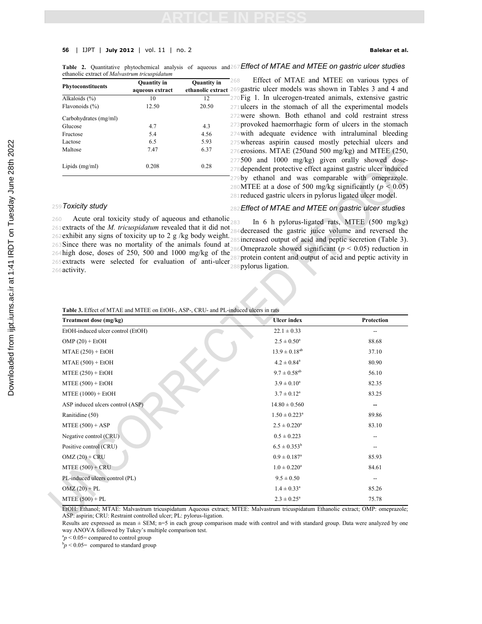## **56** | IJPT | **July 2012** | vol. 11 | no. 2 **Balekar et al.**

Table 2. Quantitative phytochemical analysis of aqueous and 267 Effect of MTAE and MTEE on gastric ulcer studies ethanolic extract of *Malvastrum tricuspidatum*

| Phytoconstituents     | <b>Ouantity</b> in<br>aqueous extract | <b>Quantity</b> in<br>ethanolic extract <sup>21</sup> |  |  |
|-----------------------|---------------------------------------|-------------------------------------------------------|--|--|
| Alkaloids $(\% )$     | 10                                    | 12                                                    |  |  |
| Flavonoids (%)        | 12.50                                 | 20.50                                                 |  |  |
| Carbohydrates (mg/ml) |                                       |                                                       |  |  |
| Glucose               | 4.7                                   | 4.3                                                   |  |  |
| Fructose              | 5.4                                   | 4.56                                                  |  |  |
| Lactose               | 6.5                                   | 5.93                                                  |  |  |
| Maltose               | 7.47                                  | 6.37                                                  |  |  |
| Lipids (mg/ml)        | 0.208                                 | 0.28                                                  |  |  |

 Effect of MTAE and MTEE on various types of gastric ulcer models was shown in Tables 3 and 4 and Fig 1. In ulcerogen-treated animals, extensive gastric 71 ulcers in the stomach of all the experimental models were shown. Both ethanol and cold restraint stress provoked haemorrhagic form of ulcers in the stomach with adequate evidence with intraluminal bleeding whereas aspirin caused mostly petechial ulcers and erosions. MTAE (250and 500 mg/kg) and MTEE (250, 500 and 1000 mg/kg) given orally showed dose-dependent protective effect against gastric ulcer induced by ethanol and was comparable with omeprazole. 280 MTEE at a dose of 500 mg/kg significantly ( $p < 0.05$ ) reduced gastric ulcers in pylorus ligated ulcer model.

## <sup>259</sup>*Toxicity study*

260 Acute oral toxicity study of aqueous and ethanolic<sub>283</sub> 260 Actue oral toxicity study of aqueous and emanolic 283 In 6 h pylorus-ligated rats, MTEE (500 mg/kg)<br>261 extracts of the *M. tricuspidatum* revealed that it did not 284 decreased the gastric injce volume and reversed t <sup>262</sup>exhibit any signs of toxicity up to 2 g /kg body weight. <sup>263</sup>Since there was no mortality of the animals found at <sup>264</sup>high dose, doses of 250, 500 and 1000 mg/kg of the 267 protein content and output of acid and peptic activity in<br>265 extracts were selected for evaluation of anti-ulcer experience liestics. <sup>266</sup>activity. 268 Since there was no motianty of the animals found at 286 Omeprazole showed significant ( $p < 0.05$ ) reduction in 264 high dose, doses of 250, 500 and 1000 mg/kg of the secondary partial and matrix of anti-partial and ma

# <sup>282</sup>*Effect of MTAE and MTEE on gastric ulcer studies*

<sup>284</sup>decreased the gastric juice volume and reversed the 85 increased output of acid and peptic secretion (Table 3). <sup>288</sup>pylorus ligation.

# Table 3. Effect of MTAE and MTEE on EtOH-, ASP-, CRU- and PL-induce

| Treatment dose (mg/kg)            | <b>Ulcer</b> index            | Protection |  |
|-----------------------------------|-------------------------------|------------|--|
| EtOH-induced ulcer control (EtOH) | $22.1 \pm 0.33$               |            |  |
| $OMP(20) + EtOH$                  | $2.5 \pm 0.50^a$              | 88.68      |  |
| $MTAE(250) + EtOH$                | $13.9 \pm 0.18^{ab}$          | 37.10      |  |
| $MTAE (500) + EtOH$               | $4.2 \pm 0.84$ <sup>a</sup>   | 80.90      |  |
| $MTEE (250) + EtOH$               | $9.7 \pm 0.58^{ab}$           | 56.10      |  |
| $MTEE (500) + EtOH$               | $3.9 \pm 0.10^a$              | 82.35      |  |
| $MTEE (1000) + EtOH$              | $3.7 \pm 0.12^a$              | 83.25      |  |
| ASP induced ulcers control (ASP)  | $14.80 \pm 0.560$             |            |  |
| Ranitidine (50)                   | $1.50 \pm 0.223$ <sup>a</sup> | 89.86      |  |
| $MTEE (500) + ASP$                | $2.5 \pm 0.220^a$             | 83.10      |  |
| Negative control (CRU).           | $0.5 \pm 0.223$               |            |  |
| Positive control (CRU)            | $6.5 \pm 0.353^b$             |            |  |
| $OMZ(20) + CRU$                   | $0.9 \pm 0.187$ <sup>a</sup>  | 85.93      |  |
| $MTEE (500) + CRU$                | $1.0 \pm 0.220^a$             | 84.61      |  |
| PL-induced ulcers control (PL)    | $9.5 \pm 0.50$                | --         |  |
| $OMZ(20) + PL$                    | $1.4 \pm 0.33$ <sup>a</sup>   | 85.26      |  |
| $MTEE (500) + PL$                 | $2.3 \pm 0.25^a$              | 75.78      |  |

EtOH: Ethanol; MTAE: Malvastrum tricuspidatum Aqueous extract; MTEE: Malvastrum tricuspidatum Ethanolic extract; OMP: omeprazole; ASP: aspirin; CRU: Restraint controlled ulcer; PL: pylorus-ligation.

Results are expressed as mean ± SEM; n=5 in each group comparison made with control and with standard group. Data were analyzed by one way ANOVA followed by Tukey's multiple comparison test.

 $a_p$  < 0.05 = compared to control group

 $bp < 0.05$  compared to standard group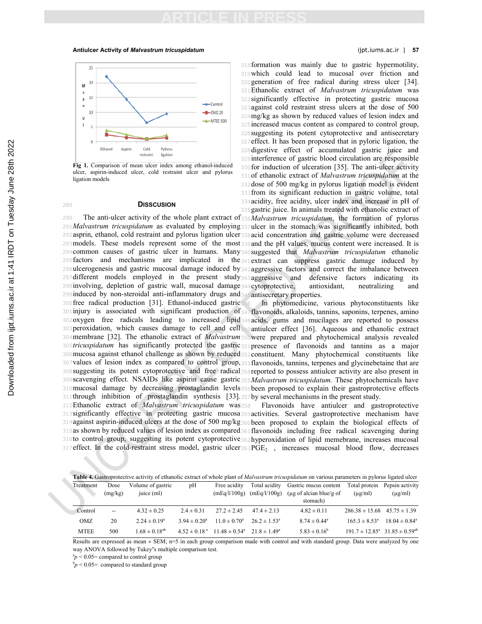### **Antiulcer Activity of** *Malvastrum tricuspidatum* ijpt.iums.ac.ir | **57**



**Fig 1.** Comparison of mean ulcer index among ethanol-induced ulcer, aspirin-induced ulcer, cold restraint ulcer and pylorus ligation models

## <sup>289</sup> **DISSCUSION**

*Malvastrum tricuspidatum* as evaluated by employing <sup>337</sup>ulcer in the stomach was significantly inhibited, both asprin, ethanol, cold restraint and pylorus ligation ulcer <sup>338</sup>acid concentration and gastric volume were decreased models. These models represent some of the most <sup>339</sup>and the pH values, mucus content were increased. It is common causes of gastric ulcer in humans. Many <sup>340</sup>suggested that *Malvastrum tricuspidatum* ethanolic factors and mechanisms are implicated in the <sup>341</sup>extract can suppress gastric damage induced by ulcerogenesis and gastric mucosal damage induced by <sup>342</sup>aggressive factors and correct the imbalance between different models employed in the present study <sup>343</sup>aggressive and defensive factors indicating its involving, depletion of gastric wall, mucosal damage <sup>344</sup>cytoprotective, antioxidant, neutralizing and induced by non-steroidal anti-inflammatory drugs and <sup>345</sup>antisecretary properties. free radical production [31]. Ethanol-induced gastric <sup>346</sup> In phytomedicine, various phytoconstituents like injury is associated with significant production of <sup>347</sup>flavonoids, alkaloids, tannins, saponins, terpenes, amino oxygen free radicals leading to increased lipid <sup>348</sup>acids, gums and mucilages are reported to possess peroxidation, which causes damage to cell and cell <sup>349</sup>antiulcer effect [36]. Aqueous and ethanolic extract membrane [32]. The ethanolic extract of *Malvastrum* <sup>350</sup>were prepared and phytochemical analysis revealed *tricuspidatum* has significantly protected the gastric <sup>351</sup>presence of flavonoids and tannins as a major mucosa against ethanol challenge as shown by reduced <sup>352</sup>constituent. Many phytochemical constituents like values of lesion index as compared to control group, <sup>353</sup>flavonoids, tannins, terpenes and glycinebetaine that are suggesting its potent cytoprotective and free radical <sup>354</sup>reported to possess antiulcer activity are also present in scavenging effect. NSAIDs like aspirin cause gastric <sup>355</sup>*Malvastrum tricuspidatum.* These phytochemicals have mucosal damage by decreasing prostaglandin levels <sup>356</sup>been proposed to explain their gastroprotective effects through inhibition of prostaglandin synthesis [33]. <sup>357</sup>by several mechanisms in the present study.

 The anti-ulcer activity of the whole plant extract of <sup>336</sup>*Malvastrum tricuspidatum*, the formation of pylorus formation was mainly due to gastric hypermotility, which could lead to mucosal over friction and generation of free radical during stress ulcer [34]. Ethanolic extract of *Malvastrum tricuspidatum* was significantly effective in protecting gastric mucosa against cold restraint stress ulcers at the dose of 500 mg/kg as shown by reduced values of lesion index and increased mucus content as compared to control group, suggesting its potent cytoprotective and antisecretary effect. It has been proposed that in pyloric ligation, the digestive effect of accumulated gastric juice and interference of gastric blood circulation are responsible for induction of ulceration [35]. The anti-ulcer activity of ethanolic extract of *Malvastrum tricuspidatum* at the dose of 500 mg/kg in pylorus ligation model is evident from its significant reduction in gastric volume, total acidity, free acidity, ulcer index and increase in pH of 335 gastric juice. In animals treated with ethanolic extract of

Ethanolic extract of *Malvastrum tricuspidatum* was <sup>358</sup> Flavonoids have antiulcer and gastroprotective significantly effective in protecting gastric mucosa <sup>359</sup>activities. Several gastroprotective mechanism have against aspirin-induced ulcers at the dose of 500 mg/kg <sup>360</sup>been proposed to explain the biological effects of as shown by reduced values of lesion index as compared <sup>361</sup>flavonoids including free radical scavenging during 316to control group, suggesting its potent cytoprotective 362 hyperoxidation of lipid memebrane, increases mucosal effect. In the cold-restraint stress model, gastric ulcer  $363$  PGE<sub>2</sub>, increases mucosal blood flow, decreases

| Table 4. Gastroprotective activity of ethanolic extract of whole plant of <i>Malvastrum tricuspidatum</i> on various parameters in pylorus ligated ulcer |  |  |
|----------------------------------------------------------------------------------------------------------------------------------------------------------|--|--|
|----------------------------------------------------------------------------------------------------------------------------------------------------------|--|--|

| Treatment   | Dose                     | Volume of gastric    | pH                | Free acidity                                                 | Total acidity           | Gastric mucus content       | Total protein                                             | Pepsin activity          |
|-------------|--------------------------|----------------------|-------------------|--------------------------------------------------------------|-------------------------|-----------------------------|-----------------------------------------------------------|--------------------------|
|             | (mg/kg)                  | juice (ml)           |                   | (mEq/l/100g)                                                 | (mEq/l/100g)            | $\mu$ g of alcian blue/g of | $(\mu$ g/ml)                                              | $(\mu g/ml)$             |
|             |                          |                      |                   |                                                              |                         | stomach)                    |                                                           |                          |
| Control     | $\overline{\phantom{a}}$ | $4.32 \pm 0.25$      | $2.4 \pm 0.31$    | $27.2 \pm 2.45$                                              | $47.4 \pm 2.13$         | $4.82 \pm 0.11$             | $286.38 \pm 15.68$ $45.75 \pm 1.39$                       |                          |
| OMZ         | 20                       | $2.24 \pm 0.19^a$    | $3.94 \pm 0.20^a$ | $11.0 \pm 0.70^a$                                            | $26.2 \pm 1.53^{\circ}$ | $8.74 \pm 0.44^{\circ}$     | $165.3 \pm 8.53^{\circ}$                                  | $18.04 \pm 0.84^{\circ}$ |
| <b>MTEE</b> | 500                      | $1.68 \pm 0.18^{ab}$ |                   | $4.52 \pm 0.18^{a}$ $11.48 \pm 0.54^{a}$ $21.8 \pm 1.49^{a}$ |                         | $5.83 \pm 0.16^b$           | $191.7 \pm 12.85^{\text{a}}$ $31.85 \pm 0.59^{\text{ab}}$ |                          |

Results are expressed as mean ± SEM; n=5 in each group comparison made with control and with standard group. Data were analyzed by one way ANOVA followed by Tukey**'**s multiple comparison test.

 ${}^{a}p$  < 0.05 = compared to control group

 $b_p$  < 0.05= compared to standard group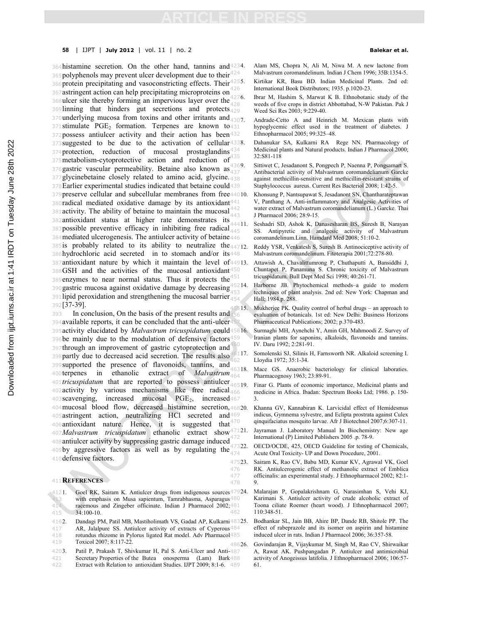### **58** | IJPT | **July 2012** | vol. 11 | no. 2 **Balekar et al.**

364 histamine secretion. On the other hand, tannins and 4234. 365 polyphenols may prevent ulcer development due to their  $424$ 366protein precipitating and vasoconstricting effects. Their<sup>4255.</sup> 367 astringent action can help precipitating microproteins on 368 ulcer site thereby forming an impervious layer over the  $428$ 369linning that hinders gut secretions and protects $429$ 370 underlying mucosa from toxins and other irritants and  $_{4307}$ 371stimulate  $PGE_2$  formation. Terpenes are known to 431 372possess antiulcer activity and their action has been<sup>432</sup> 373 suggested to be due to the activation of cellular<sup>4338</sup>. 374 protection, reduction of mucosal prostaglandins<sup>434</sup>  $375$ metabolism-cytoprotective action and reduction  $64^{435}$ <br> $375$ metabolism-cytoprotective action and reduction  $64^{435}$ 376 gastric vascular permeability. Betaine also known  $\text{as}_{437}^{330}$ 377glycinebetaine closely related to amino acid, glycine. 438 <sup>378</sup>Earlier experimental studies indicated that betaine could 379 preserve cellular and subcellular membranes from free44010. 380radical mediated oxidative damage by its antioxidant<sup>441</sup> 381 activity. The ability of betaine to maintain the mucosal  $^{442}_{443}$  $382$ antioxidant status at higher rate demonstrates its<sup> $332$ </sup> 383possible preventive efficacy in inhibiting free radical  $445$ 384 mediated ulcerogenesis. The antiulcer activity of betaine 446 385is probably related to its ability to neutralize the  $44712$ . 386hydrochloric acid secreted in to stomach and/or its448 <sup>387</sup>antioxidant nature by which it maintain the level of <sup>388</sup>GSH and the activities of the mucosal antioxidant 389 enzymes to near normal status. Thus it protects the  $4$ 390 gastric mucosa against oxidative damage by decreasing  $4$ 391 lipid peroxidation and strengthening the mucosal barrier  $454$ <sup>392</sup>[37-39].

 In conclusion, On the basis of the present results and available reports, it can be concluded that the anti-ulcer activity elucidated by *Malvastrum tricuspidatum* could be mainly due to the modulation of defensive factors through an improvement of gastric cytoprotection and 398 partly due to decreased acid secretion. The results also supported the presence of flavonoids, tannins, and terpenes in ethanolic extract of *Malvastrum tricuspidatum* that are reported to possess antiulcer 402 activity by various mechanisms like free radical  $466$ 403 scavenging, increased mucosal PGE<sub>2</sub>, increased 467 3. 404 mucosal blood flow, decreased histamine secretion, 46820. astringent action, neutralizing HCl secreted and antioxidant nature. Hence, it is suggested that *Malvastrum tricuspidatum* ethanolic extract show antiulcer activity by suppressing gastric damage induced 409by aggressive factors as well as by regulating the  $474$ defensive factors.

### <sup>411</sup>**REFERENCES**

4121. Goel RK, Sairam K. Antiulcer drugs from indigenous sources 47924.<br>with emphasis on Musa sapientum, Tamrabhasma, Asparagus 480 413 with emphasis on Musa sapientum, Tamrabhasma, Asparagus<sup>480</sup><br>414 racemous and Zingeber officinate Indian J Pharmacol 2002:481 racemous and Zingeber officinate. Indian J Pharmacol 2002; 481<br>34:100-10 415 34:100-10.

478

- 4162. Dandagi PM, Patil MB, Mastiholimath VS, Gadad AP, Kulkarni<sup>483</sup>25.<br>417 AR, Jalalpure SS. Antiulcer activity of extracts of Cyperous<sup>484</sup> AR, Jalalpure SS. Antiulcer activity of extracts of Cyperous<sup>484</sup> 418 rotundus rhizome in Pylorus ligated Rat model. Adv Pharmacol<sup>485</sup>
- 419 Toxicol 2007; 8:117-22. 4203. Patil P, Prakash T, Shivkumar H, Pal S. Anti-Ulcer and Anti-
- 421 Secretary Properties of the Butea onosperma (Lam) Bark488 422 Extract with Relation to antioxidant Studies. IJPT 2009; 8:1-6. 489 61.

Alam MS, Chopra N, Ali M, Niwa M. A new lactone from Malvastrum coromandelinum. Indian J Chem 1996; 35B:1354-5. Kirtikar KR, Basu BD. Indian Medicinal Plants. 2nd ed:

426 International Book Distributors; 1935. p.1020-23. Ibrar M, Hashim S, Marwat K B. Ethnobotanic study of the weeds of five crops in district Abbottabad, N-W Pakistan. Pak J Weed Sci Res 2003; 9:229-40.

> Andrade-Cetto A and Heinrich M. Mexican plants with hypoglycemic effect used in the treatment of diabetes. J Ethnopharmacol 2005; 99:325-48.

4338. Dahanukar SA, Kulkarni RA Rege NN. Pharmacology of Medicinal plants and Natural products. Indian J Pharmacol 2000; 435 32:S81-118

Sittiwet C, Jesadanont S, Pongpech P, Naenna P, Pongsamart S. Antibacterial activity of Malvastrum coromandelianum Garcke against methicillin-sensitive and methicillin-resistant strains of Staphylococcus aureus. Current Res Bacteriol 2008; 1:42-5.

Khonsung P, Nantsupawat S, Jesadanont SN, Chantharateptawan V, Panthang A. Anti-inflammatory and Analgesic Activities of water extract of Malvastrum coromandelianum (L.) Garcke. Thai 443 J Pharmacol 2006; 28:9-15.

Seshadri SD, Ashok K, Danasesharan BS, Suresh B, Narayan SS. Antipyretic and analgesic activity of Malvastrum Antipyretic and analgesic activity of Malvastrum coromandelinum.Linn. Hamdard Med 2008; 51:10-2.

Reddy YSR, Venkatesh S, Suresh B. Antinociceptive activity of Malvastrum coromandelinum. Fitoterapia 2001;72:278-80.

Attawish A, Chavalittumrong P, Chuthaputti A, Bansiddhi J, Chuntapet P, Panamuna S. Chronic toxicity of Malvastrum tricuspidatum. Bull Dept Med Sci 1998; 40:261-71.

45214. Harborne JB. Phytochemical methods–a guide to modern techniques of plant analysis. 2nd ed: New York: Chapman and Hall; 1984.p. 288.

45515. Mukherjee PK. Quality control of herbal drugs – an approach to evaluation of botanicals. 1st ed: New Delhi: Business Horizons Pharmaceutical Publications; 2002; p.370-483.

45816. Surmaghi MH, Aynehchi Y, Amin GH, Mahmoodi Z. Survey of Iranian plants for saponins, alkaloids, flavonoids and tannins. IV. Daru 1992; 2:281-91.

46117. Somolenski SJ, Silinis H, Farnsworth NR. Alkaloid screening I. 462 Lloydia 1972; 35:1-34.

46318. Mace GS. Anaerobic bacteriology for clinical laboraties. Pharmacognosy 1963; 23:89-91.

> Finar G. Plants of economic importance, Medicinal plants and medicine in Africa. Ibadan: Spectrum Books Ltd; 1986. p. 150-

> Khanna GV, Kannabiran K. Larvicidal effect of Hemidesmus indicus, Gymnema sylvestre, and Eclipta prostrata against Culex qinquifaciatus mosquito larvae. Afr J Biotechnol 2007;6:307-11.

Jayraman J. Laboratory Manual In Biochemistry: New age 172 International (P) Limited Publishers 2005 .p. 78-9.

47322. OECD/OCDE, 425, OECD Guideline for testing of Chemicals, Acute Oral Toxicity- UP and Down Procedure, 2001.

47523. Sairam K, Rao CV, Babu MD, Kumar KV, Agrawal VK, Goel 476 RK. Antiulcerogenic effect of methanolic extract of Emblica<br>477 officinalis: an experimental study. J Ethnopharmacol 2002; 82:1officinalis: an experimental study. J Ethnopharmacol 2002; 82:1-

> 47924. Malarajan P, Gopalakrishnam G, Narasimhan S, Vehi KJ, Karimani S. Antiulcer activity of crude alcoholic extract of Toona ciliate Roemer (heart wood). J Ethnopharmacol 2007; 110:348-51.

> 48325. Bodhankar SL, Jain BB, Ahire BP, Dande RB, Shitole PP. The effect of rabeprazole and its isomer on aspirin and histamine induced ulcer in rats. Indian J Pharmacol 2006; 36:357-58.

48626. Govindarajan R, Vijaykumar M, Singh M, Rao CV, Shirwaikar A, Rawat AK. Pushpangadan P. Antiulcer and antimicrobial activity of Anogeissus latifolia. J Ethnopharmacol 2006; 106:57-